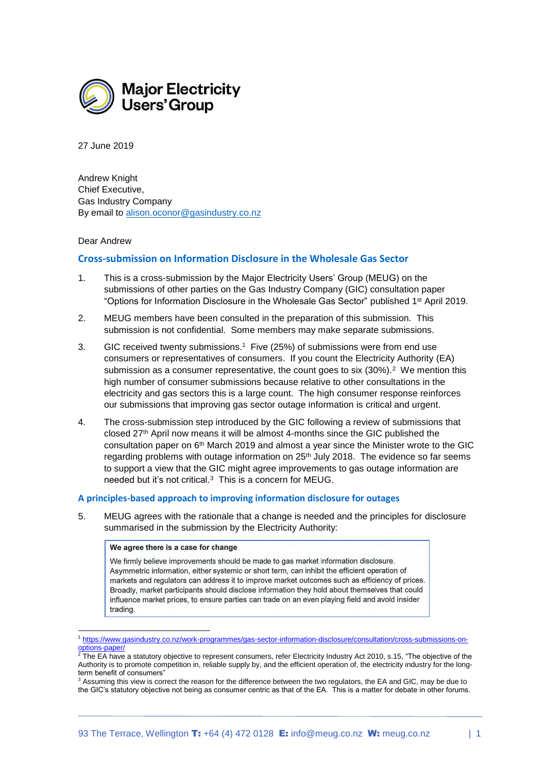

27 June 2019

Andrew Knight Chief Executive, Gas Industry Company By email to [alison.oconor@gasindustry.co.nz](mailto:alison.oconor@gasindustry.co.nz)

#### Dear Andrew

1

# **Cross-submission on Information Disclosure in the Wholesale Gas Sector**

- 1. This is a cross-submission by the Major Electricity Users' Group (MEUG) on the submissions of other parties on the Gas Industry Company (GIC) consultation paper "Options for Information Disclosure in the Wholesale Gas Sector" published 1st April 2019.
- 2. MEUG members have been consulted in the preparation of this submission. This submission is not confidential. Some members may make separate submissions.
- 3. GIC received twenty submissions. 1 Five (25%) of submissions were from end use consumers or representatives of consumers. If you count the Electricity Authority (EA) submission as a consumer representative, the count goes to six (30%). $^2$  We mention this high number of consumer submissions because relative to other consultations in the electricity and gas sectors this is a large count. The high consumer response reinforces our submissions that improving gas sector outage information is critical and urgent.
- 4. The cross-submission step introduced by the GIC following a review of submissions that closed 27<sup>th</sup> April now means it will be almost 4-months since the GIC published the consultation paper on 6th March 2019 and almost a year since the Minister wrote to the GIC regarding problems with outage information on  $25<sup>th</sup>$  July 2018. The evidence so far seems to support a view that the GIC might agree improvements to gas outage information are needed but it's not critical.<sup>3</sup> This is a concern for MEUG.

## **A principles-based approach to improving information disclosure for outages**

5. MEUG agrees with the rationale that a change is needed and the principles for disclosure summarised in the submission by the Electricity Authority:

#### We agree there is a case for change

We firmly believe improvements should be made to gas market information disclosure. Asymmetric information, either systemic or short term, can inhibit the efficient operation of markets and regulators can address it to improve market outcomes such as efficiency of prices. Broadly, market participants should disclose information they hold about themselves that could influence market prices, to ensure parties can trade on an even playing field and avoid insider trading.

<sup>1</sup> [https://www.gasindustry.co.nz/work-programmes/gas-sector-information-disclosure/consultation/cross-submissions-on](https://www.gasindustry.co.nz/work-programmes/gas-sector-information-disclosure/consultation/cross-submissions-on-options-paper/)[options-paper/](https://www.gasindustry.co.nz/work-programmes/gas-sector-information-disclosure/consultation/cross-submissions-on-options-paper/)

 $^2$  The EA have a statutory objective to represent consumers, refer Electricity Industry Act 2010, s.15, "The objective of the Authority is to promote competition in, reliable supply by, and the efficient operation of, the electricity industry for the longterm benefit of consumers"

<sup>3</sup> Assuming this view is correct the reason for the difference between the two regulators, the EA and GIC, may be due to the GIC's statutory objective not being as consumer centric as that of the EA. This is a matter for debate in other forums.